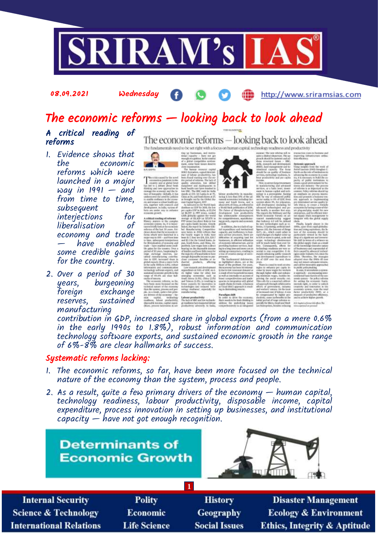

#### 08.09.2021 Wednesday

#### http://www.sriramsias.com

# The economic reforms — looking back to look ahead

#### A critical reading of reforms

- 1. Evidence shows that economic reforms which were launched in a major way in  $1991 -$  and from time to time, subsequent interjections for liberalisation economy and trade — have enabled some credible gains for the country.
- 2. Over a period of 30 years, burgeoning<br>foreign exchange exchange reserves, sustained manufacturing

The economic reforms — looking back to look ahead The fundamentals need to be set right with a focus on human capital, technology readiness and productivity





 $\begin{tabular}{l|c|c|c} \textbf{Pacubipu} & \textbf{0.09} \\ \textbf{In order to derive the constant} \\ \textbf{Baryo} & \textbf{0.00} \\ \textbf{0.00} \\ \textbf{0.00} \\ \textbf{0.00} \\ \textbf{0.00} \\ \textbf{0.00} \\ \textbf{0.00} \\ \textbf{0.00} \\ \textbf{0.00} \\ \textbf{0.00} \\ \textbf{0.00} \\ \textbf{0.00} \\ \textbf{0.00} \\ \textbf{0.00} \\ \textbf{0.00} \\ \textbf{0.00} \\ \textbf{$ 

contribution in GDP, increased share in global exports (from a mere 0.6% in the early 1990s to 1.8%), robust information and communication technology software exports, and sustained economic growth in the range of 6%-8% are clear hallmarks of success.

#### Systematic reforms lacking:

- 1. The economic reforms, so far, have been more focused on the technical nature of the economy than the system, process and people.
- 2. As a result, quite a few primary drivers of the economy human capital, technology readiness, labour productivity, disposable income, capital expenditure, process innovation in setting up businesses, and institutional  $capacity$  — have not got enough recognition.

**Determinants of Economic Growth** 



| <b>Internal Security</b>        | <b>Polity</b>       | <b>History</b>       | <b>Disaster Management</b>              |
|---------------------------------|---------------------|----------------------|-----------------------------------------|
| <b>Science &amp; Technology</b> | <b>Economic</b>     | <b>Geography</b>     | <b>Ecology &amp; Environment</b>        |
| <b>International Relations</b>  | <b>Life Science</b> | <b>Social Issues</b> | <b>Ethics, Integrity &amp; Aptitude</b> |
|                                 |                     |                      |                                         |

**1**

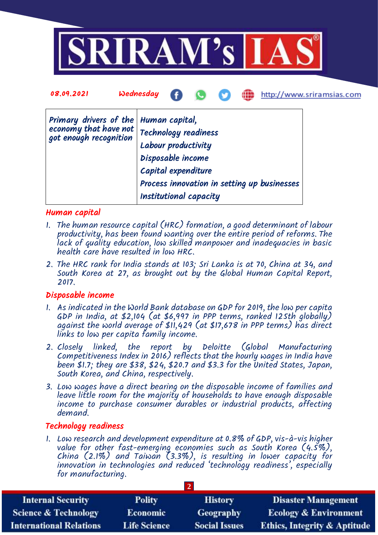

| 08.09.2021                                                                    | Æ<br><b>Wednesday</b><br>http://www.sriramsias.com                                                                                                                                 |
|-------------------------------------------------------------------------------|------------------------------------------------------------------------------------------------------------------------------------------------------------------------------------|
| Primary drivers of the $ $<br>economy that have not<br>got enough recognition | Human capital,<br>Technology readiness<br>Labour productivity<br>Disposable income<br>Capital expenditure<br>Process innovation in setting up businesses<br>Institutional capacity |

#### Human capital

- 1. The human resource capital (HRC) formation, a good determinant of labour productivity, has been found wanting over the entire period of reforms. The lack of quality education, low skilled manpower and inadequacies in basic health care have resulted in low HRC.
- 2. The HRC rank for India stands at 103; Sri Lanka is at 70, China at 34, and South Korea at 27, as brought out by the Global Human Capital Report, 2017.

#### Disposable income

- 1. As indicated in the World Bank database on GDP for 2019, the low per capita GDP in India, at \$2,104 (at \$6,997 in PPP terms, ranked 125th globally) against the world average of \$11,429 (at \$17,678 in PPP terms) has direct links to low per capita family income.
- 2. Closely linked, the report by Deloitte (Global Manufacturing Competitiveness Index in 2016) reflects that the hourly wages in India have been \$1.7; they are \$38, \$24, \$20.7 and \$3.3 for the United States, Japan, South Korea, and China, respectively.
- 3. Low wages have a direct bearing on the disposable income of families and leave little room for the majority of households to have enough disposable income to purchase consumer durables or industrial products, affecting demand.

#### Technology readiness

1. Low research and development expenditure at 0.8% of GDP, vis-à-vis higher value for other fast-emerging economies such as South Korea (4.5%), China (2.1%) and Taiwan (3.3%), is resulting in lower capacity for innovation in technologies and reduced 'technology readiness', especially for manufacturing.

**2**

| <b>Internal Security</b>        | <b>Polity</b>       | <b>History</b>       | <b>Disaster Management</b>              |
|---------------------------------|---------------------|----------------------|-----------------------------------------|
| <b>Science &amp; Technology</b> | <b>Economic</b>     | <b>Geography</b>     | <b>Ecology &amp; Environment</b>        |
| <b>International Relations</b>  | <b>Life Science</b> | <b>Social Issues</b> | <b>Ethics, Integrity &amp; Aptitude</b> |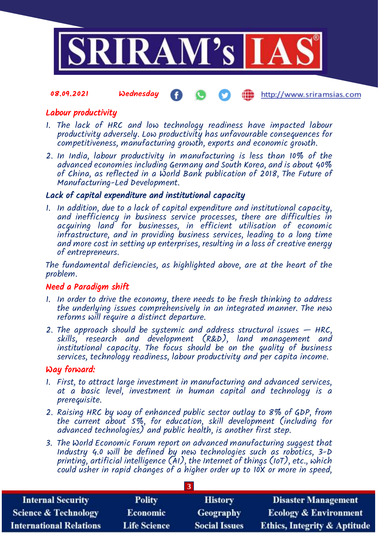

#### 08.09.2021 Wednesday http://www.sriramsias.com

### Labour productivity

- 1. The lack of HRC and low technology readiness have impacted labour productivity adversely. Low productivity has unfavourable consequences for competitiveness, manufacturing growth, exports and economic growth.
- 2. In India, labour productivity in manufacturing is less than 10% of the advanced economies including Germany and South Korea, and is about 40% of China, as reflected in a World Bank publication of 2018, The Future of Manufacturing-Led Development.

#### Lack of capital expenditure and institutional capacity

1. In addition, due to a lack of capital expenditure and institutional capacity, and inefficiency in business service processes, there are difficulties in acquiring land for businesses, in efficient utilisation of economic infrastructure, and in providing business services, leading to a long time and more cost in setting up enterprises, resulting in a loss of creative energy of entrepreneurs.

The fundamental deficiencies, as highlighted above, are at the heart of the problem.

#### Need a Paradigm shift

- 1. In order to drive the economy, there needs to be fresh thinking to address the underlying issues comprehensively in an integrated manner. The new reforms will require a distinct departure.
- 2. The approach should be systemic and address structural issues  $-$  HRC, skills, research and development (R&D), land management and institutional capacity. The focus should be on the quality of business services, technology readiness, labour productivity and per capita income.

#### Way forward:

- 1. First, to attract large investment in manufacturing and advanced services, at a basic level, investment in human capital and technology is a prerequisite.
- 2. Raising HRC by way of enhanced public sector outlay to 8% of GDP, from the current about 5%, for education, skill development (including for advanced technologies) and public health, is another first step.
- 3. The World Economic Forum report on advanced manufacturing suggest that Industry 4.0 will be defined by new technologies such as robotics, 3-D printing, artificial intelligence (AI), the Internet of things (IoT), etc., which could usher in rapid changes of a higher order up to 10X or more in speed,

| <b>Internal Security</b>        | <b>Polity</b>       | <b>History</b>       | <b>Disaster Management</b>              |
|---------------------------------|---------------------|----------------------|-----------------------------------------|
| <b>Science &amp; Technology</b> | <b>Economic</b>     | Geography            | <b>Ecology &amp; Environment</b>        |
| <b>International Relations</b>  | <b>Life Science</b> | <b>Social Issues</b> | <b>Ethics, Integrity &amp; Aptitude</b> |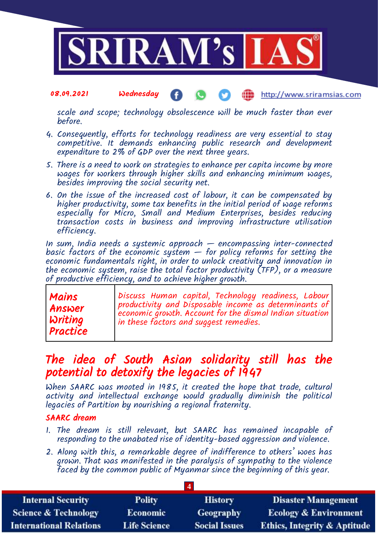

#### 08.09.2021 Wednesday http://www.sriramsias.com

scale and scope; technology obsolescence will be much faster than ever before.

- 4. Consequently, efforts for technology readiness are very essential to stay competitive. It demands enhancing public research and development expenditure to 2% of GDP over the next three years.
- 5. There is a need to work on strategies to enhance per capita income by more wages for workers through higher skills and enhancing minimum wages, besides improving the social security net.
- 6. On the issue of the increased cost of labour, it can be compensated by higher productivity, some tax benefits in the initial period of wage reforms especially for Micro, Small and Medium Enterprises, besides reducing transaction costs in business and improving infrastructure utilisation efficiency.

In sum, India needs a systemic approach — encompassing inter-connected basic factors of the economic system  $-$  for policy reforms for setting the economic fundamentals right, in order to unlock creativity and innovation in the economic system, raise the total factor productivity (TFP), or a measure of productive efficiency, and to achieve higher growth.

| Mains          | Discuss Human capital, Technology readiness, Labour      |
|----------------|----------------------------------------------------------|
| Answer         | productivity and Disposable income as determinants of    |
| <b>Writing</b> | economic growth. Account for the dismal Indian situation |
| Practice       | in these factors and suggest remedies.                   |

## The idea of South Asian solidarity still has the potential to detoxify the legacies of 1947

When SAARC was mooted in 1985, it created the hope that trade, cultural activity and intellectual exchange would gradually diminish the political legacies of Partition by nourishing a regional fraternity.

### SAARC dream

- 1. The dream is still relevant, but SAARC has remained incapable of responding to the unabated rise of identity-based aggression and violence.
- 2. Along with this, a remarkable degree of indifference to others' woes has grown. That was manifested in the paralysis of sympathy to the violence faced by the common public of Myanmar since the beginning of this year.

| <b>Internal Security</b>        | <b>Polity</b>       | <b>History</b>       | <b>Disaster Management</b>              |
|---------------------------------|---------------------|----------------------|-----------------------------------------|
| <b>Science &amp; Technology</b> | <b>Economic</b>     | <b>Geography</b>     | <b>Ecology &amp; Environment</b>        |
| <b>International Relations</b>  | <b>Life Science</b> | <b>Social Issues</b> | <b>Ethics, Integrity &amp; Aptitude</b> |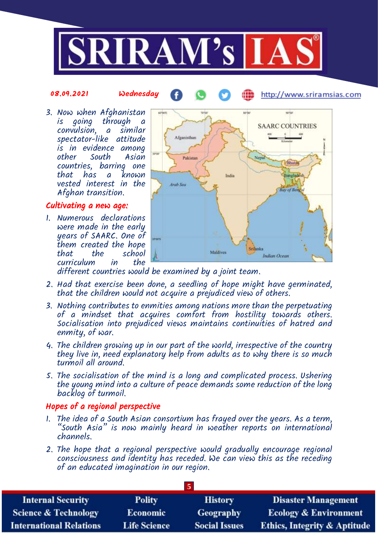

#### 08.09.2021 Wednesday

http://www.sriramsias.com

3. Now when Afghanistan is going through a convulsion, a similar spectator-like attitude is in evidence among other South Asian countries, barring one that has a known vested interest in the Afghan transition.

### Cultivating a new age:

1. Numerous declarations were made in the early years of SAARC. One of them created the hope school<br>in the curriculum



æ

different countries would be examined by a joint team.

- 2. Had that exercise been done, a seedling of hope might have germinated, that the children would not acquire a prejudiced view of others.
- 3. Nothing contributes to enmities among nations more than the perpetuating of a mindset that acquires comfort from hostility towards others. Socialisation into prejudiced views maintains continuities of hatred and enmity, of war.
- 4. The children growing up in our part of the world, irrespective of the country they live in, need explanatory help from adults as to why there is so much turmoil all around.
- 5. The socialisation of the mind is a long and complicated process. Ushering the young mind into a culture of peace demands some reduction of the long backlog of turmoil.

## Hopes of a regional perspective

- 1. The idea of a South Asian consortium has frayed over the years. As a term, "South Asia" is now mainly heard in weather reports on international channels.
- 2. The hope that a regional perspective would gradually encourage regional consciousness and identity has receded. We can view this as the receding of an educated imagination in our region.

| <b>Internal Security</b>        | <b>Polity</b>       | <b>History</b>       | <b>Disaster Management</b>              |  |
|---------------------------------|---------------------|----------------------|-----------------------------------------|--|
| <b>Science &amp; Technology</b> | <b>Economic</b>     | Geography            | <b>Ecology &amp; Environment</b>        |  |
| <b>International Relations</b>  | <b>Life Science</b> | <b>Social Issues</b> | <b>Ethics, Integrity &amp; Aptitude</b> |  |